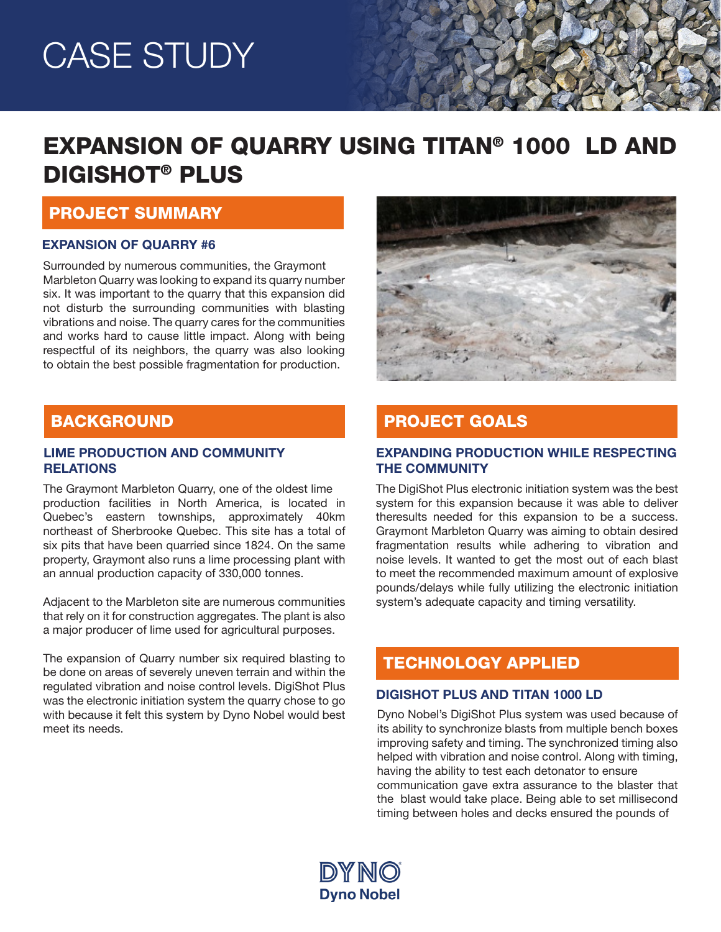# CASE STUDY

# EXPANSION OF QUARRY USING TITAN® 1000 LD AND DIGISHOT® PLUS

### PROJECT SUMMARY

#### EXPANSION OF QUARRY #6

Surrounded by numerous communities, the Graymont Marbleton Quarry was looking to expand its quarry number six. It was important to the quarry that this expansion did not disturb the surrounding communities with blasting vibrations and noise. The quarry cares for the communities and works hard to cause little impact. Along with being respectful of its neighbors, the quarry was also looking to obtain the best possible fragmentation for production.



## **BACKGROUND**

#### LIME PRODUCTION AND COMMUNITY **RELATIONS**

The Graymont Marbleton Quarry, one of the oldest lime production facilities in North America, is located in Quebec's eastern townships, approximately 40km northeast of Sherbrooke Quebec. This site has a total of six pits that have been quarried since 1824. On the same property, Graymont also runs a lime processing plant with an annual production capacity of 330,000 tonnes.

Adjacent to the Marbleton site are numerous communities that rely on it for construction aggregates. The plant is also a major producer of lime used for agricultural purposes.

The expansion of Quarry number six required blasting to be done on areas of severely uneven terrain and within the regulated vibration and noise control levels. DigiShot Plus was the electronic initiation system the quarry chose to go with because it felt this system by Dyno Nobel would best meet its needs.

# PROJECT GOALS

#### EXPANDING PRODUCTION WHILE RESPECTING THE COMMUNITY

The DigiShot Plus electronic initiation system was the best system for this expansion because it was able to deliver theresults needed for this expansion to be a success. Graymont Marbleton Quarry was aiming to obtain desired fragmentation results while adhering to vibration and noise levels. It wanted to get the most out of each blast to meet the recommended maximum amount of explosive pounds/delays while fully utilizing the electronic initiation system's adequate capacity and timing versatility.

### TECHNOLOGY APPLIED

#### DIGISHOT PLUS AND TITAN 1000 LD

Dyno Nobel's DigiShot Plus system was used because of its ability to synchronize blasts from multiple bench boxes improving safety and timing. The synchronized timing also helped with vibration and noise control. Along with timing, having the ability to test each detonator to ensure communication gave extra assurance to the blaster that the blast would take place. Being able to set millisecond timing between holes and decks ensured the pounds of